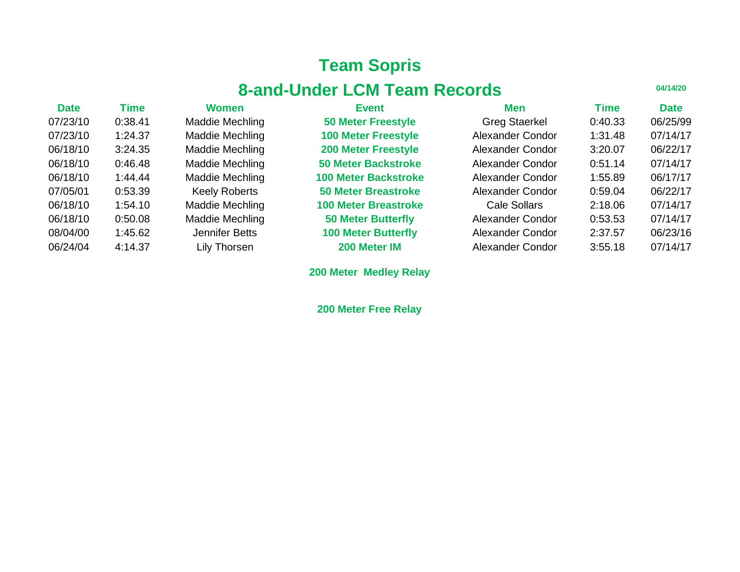# **Team Sopris**

# **8-and-Under LCM Team Records**

**04/14/20**

| <b>Date</b> | Time    | <b>Women</b>         | <b>Event</b>                | Men                  | <b>Time</b> | <b>Date</b> |
|-------------|---------|----------------------|-----------------------------|----------------------|-------------|-------------|
| 07/23/10    | 0:38.41 | Maddie Mechling      | <b>50 Meter Freestyle</b>   | <b>Greg Staerkel</b> | 0:40.33     | 06/25/99    |
| 07/23/10    | 1:24.37 | Maddie Mechling      | <b>100 Meter Freestyle</b>  | Alexander Condor     | 1:31.48     | 07/14/17    |
| 06/18/10    | 3:24.35 | Maddie Mechling      | <b>200 Meter Freestyle</b>  | Alexander Condor     | 3:20.07     | 06/22/17    |
| 06/18/10    | 0:46.48 | Maddie Mechling      | <b>50 Meter Backstroke</b>  | Alexander Condor     | 0:51.14     | 07/14/17    |
| 06/18/10    | 1:44.44 | Maddie Mechling      | <b>100 Meter Backstroke</b> | Alexander Condor     | 1:55.89     | 06/17/17    |
| 07/05/01    | 0:53.39 | <b>Keely Roberts</b> | <b>50 Meter Breastroke</b>  | Alexander Condor     | 0:59.04     | 06/22/17    |
| 06/18/10    | 1:54.10 | Maddie Mechling      | <b>100 Meter Breastroke</b> | Cale Sollars         | 2:18.06     | 07/14/17    |
| 06/18/10    | 0:50.08 | Maddie Mechling      | <b>50 Meter Butterfly</b>   | Alexander Condor     | 0:53.53     | 07/14/17    |
| 08/04/00    | 1:45.62 | Jennifer Betts       | <b>100 Meter Butterfly</b>  | Alexander Condor     | 2:37.57     | 06/23/16    |
| 06/24/04    | 4:14.37 | Lily Thorsen         | 200 Meter IM                | Alexander Condor     | 3:55.18     | 07/14/17    |

**200 Meter Medley Relay**

**200 Meter Free Relay**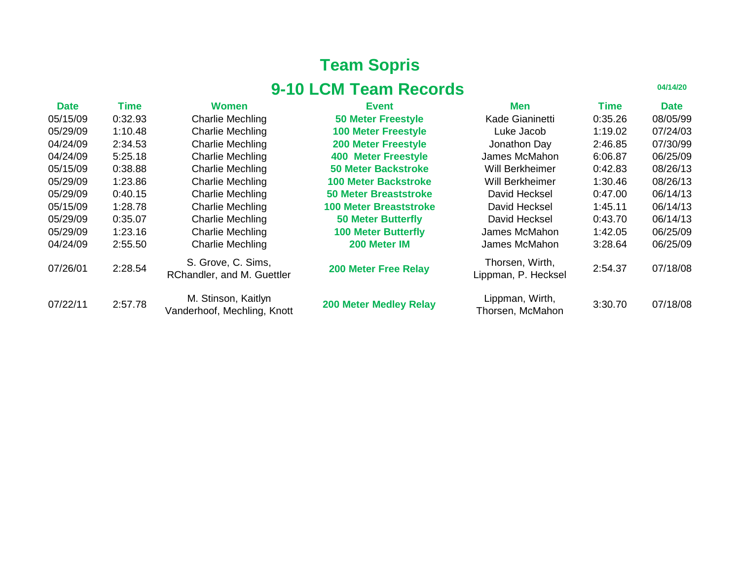# **Team Sopris 9-10 LCM Team Records**

| <b>Date</b> | Time    | <b>Women</b>                                       | <b>Event</b>                  | <b>Men</b>                             | Time    | <b>Date</b> |
|-------------|---------|----------------------------------------------------|-------------------------------|----------------------------------------|---------|-------------|
| 05/15/09    | 0:32.93 | <b>Charlie Mechling</b>                            | <b>50 Meter Freestyle</b>     | Kade Gianinetti                        | 0:35.26 | 08/05/99    |
| 05/29/09    | 1:10.48 | <b>Charlie Mechling</b>                            | <b>100 Meter Freestyle</b>    | Luke Jacob                             | 1:19.02 | 07/24/03    |
| 04/24/09    | 2:34.53 | <b>Charlie Mechling</b>                            | <b>200 Meter Freestyle</b>    | Jonathon Day                           | 2:46.85 | 07/30/99    |
| 04/24/09    | 5:25.18 | <b>Charlie Mechling</b>                            | <b>400 Meter Freestyle</b>    | James McMahon                          | 6:06.87 | 06/25/09    |
| 05/15/09    | 0:38.88 | <b>Charlie Mechling</b>                            | <b>50 Meter Backstroke</b>    | Will Berkheimer                        | 0:42.83 | 08/26/13    |
| 05/29/09    | 1:23.86 | <b>Charlie Mechling</b>                            | <b>100 Meter Backstroke</b>   | Will Berkheimer                        | 1:30.46 | 08/26/13    |
| 05/29/09    | 0:40.15 | <b>Charlie Mechling</b>                            | <b>50 Meter Breaststroke</b>  | David Hecksel                          | 0:47.00 | 06/14/13    |
| 05/15/09    | 1:28.78 | <b>Charlie Mechling</b>                            | <b>100 Meter Breaststroke</b> | David Hecksel                          | 1:45.11 | 06/14/13    |
| 05/29/09    | 0:35.07 | <b>Charlie Mechling</b>                            | <b>50 Meter Butterfly</b>     | David Hecksel                          | 0:43.70 | 06/14/13    |
| 05/29/09    | 1:23.16 | <b>Charlie Mechling</b>                            | <b>100 Meter Butterfly</b>    | James McMahon                          | 1:42.05 | 06/25/09    |
| 04/24/09    | 2:55.50 | <b>Charlie Mechling</b>                            | 200 Meter IM                  | James McMahon                          | 3:28.64 | 06/25/09    |
| 07/26/01    | 2:28.54 | S. Grove, C. Sims,<br>RChandler, and M. Guettler   | <b>200 Meter Free Relay</b>   | Thorsen, Wirth,<br>Lippman, P. Hecksel | 2:54.37 | 07/18/08    |
| 07/22/11    | 2:57.78 | M. Stinson, Kaitlyn<br>Vanderhoof, Mechling, Knott | <b>200 Meter Medley Relay</b> | Lippman, Wirth,<br>Thorsen, McMahon    | 3:30.70 | 07/18/08    |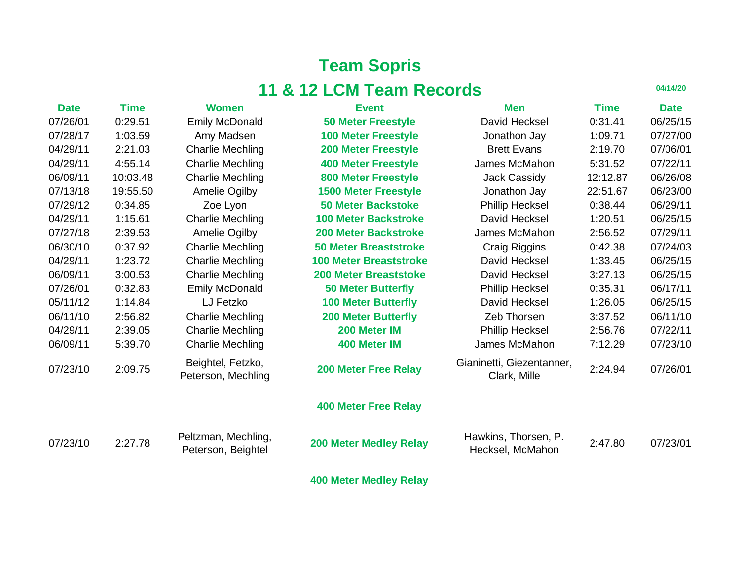### **Team Sopris 11 & 12 LCM Team Records**

| <b>Date</b> | <b>Time</b> | <b>Women</b>                              | <b>Event</b>                  | <b>Men</b>                                | <b>Time</b> | <b>Date</b> |
|-------------|-------------|-------------------------------------------|-------------------------------|-------------------------------------------|-------------|-------------|
| 07/26/01    | 0:29.51     | <b>Emily McDonald</b>                     | <b>50 Meter Freestyle</b>     | David Hecksel                             | 0:31.41     | 06/25/15    |
| 07/28/17    | 1:03.59     | Amy Madsen                                | <b>100 Meter Freestyle</b>    | Jonathon Jay                              | 1:09.71     | 07/27/00    |
| 04/29/11    | 2:21.03     | <b>Charlie Mechling</b>                   | <b>200 Meter Freestyle</b>    | <b>Brett Evans</b>                        | 2:19.70     | 07/06/01    |
| 04/29/11    | 4:55.14     | <b>Charlie Mechling</b>                   | <b>400 Meter Freestyle</b>    | James McMahon                             | 5:31.52     | 07/22/11    |
| 06/09/11    | 10:03.48    | <b>Charlie Mechling</b>                   | <b>800 Meter Freestyle</b>    | <b>Jack Cassidy</b>                       | 12:12.87    | 06/26/08    |
| 07/13/18    | 19:55.50    | Amelie Ogilby                             | <b>1500 Meter Freestyle</b>   | Jonathon Jay                              | 22:51.67    | 06/23/00    |
| 07/29/12    | 0:34.85     | Zoe Lyon                                  | <b>50 Meter Backstoke</b>     | <b>Phillip Hecksel</b>                    | 0:38.44     | 06/29/11    |
| 04/29/11    | 1:15.61     | <b>Charlie Mechling</b>                   | <b>100 Meter Backstroke</b>   | David Hecksel                             | 1:20.51     | 06/25/15    |
| 07/27/18    | 2:39.53     | Amelie Ogilby                             | <b>200 Meter Backstroke</b>   | James McMahon                             | 2:56.52     | 07/29/11    |
| 06/30/10    | 0:37.92     | <b>Charlie Mechling</b>                   | <b>50 Meter Breaststroke</b>  | Craig Riggins                             | 0:42.38     | 07/24/03    |
| 04/29/11    | 1:23.72     | <b>Charlie Mechling</b>                   | <b>100 Meter Breaststroke</b> | David Hecksel                             | 1:33.45     | 06/25/15    |
| 06/09/11    | 3:00.53     | <b>Charlie Mechling</b>                   | <b>200 Meter Breaststoke</b>  | David Hecksel                             | 3:27.13     | 06/25/15    |
| 07/26/01    | 0:32.83     | <b>Emily McDonald</b>                     | <b>50 Meter Butterfly</b>     | <b>Phillip Hecksel</b>                    | 0:35.31     | 06/17/11    |
| 05/11/12    | 1:14.84     | LJ Fetzko                                 | <b>100 Meter Butterfly</b>    | David Hecksel                             | 1:26.05     | 06/25/15    |
| 06/11/10    | 2:56.82     | <b>Charlie Mechling</b>                   | <b>200 Meter Butterfly</b>    | Zeb Thorsen                               | 3:37.52     | 06/11/10    |
| 04/29/11    | 2:39.05     | <b>Charlie Mechling</b>                   | 200 Meter IM                  | <b>Phillip Hecksel</b>                    | 2:56.76     | 07/22/11    |
| 06/09/11    | 5:39.70     | <b>Charlie Mechling</b>                   | 400 Meter IM                  | James McMahon                             | 7:12.29     | 07/23/10    |
| 07/23/10    | 2:09.75     | Beightel, Fetzko,<br>Peterson, Mechling   | <b>200 Meter Free Relay</b>   | Gianinetti, Giezentanner,<br>Clark, Mille | 2:24.94     | 07/26/01    |
|             |             |                                           | <b>400 Meter Free Relay</b>   |                                           |             |             |
| 07/23/10    | 2:27.78     | Peltzman, Mechling,<br>Peterson, Beightel | <b>200 Meter Medley Relay</b> | Hawkins, Thorsen, P.<br>Hecksel, McMahon  | 2:47.80     | 07/23/01    |
|             |             |                                           | <b>400 Meter Medley Relay</b> |                                           |             |             |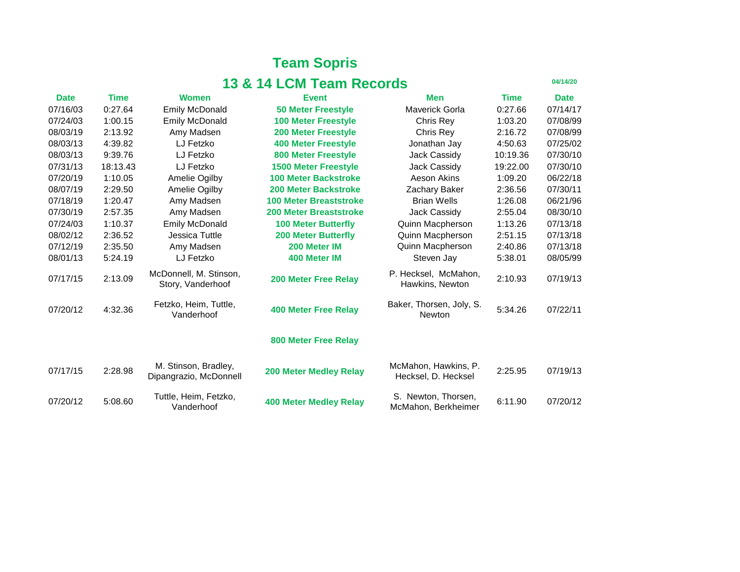#### **Team Sopris 13 & 14 LCM Team Records**

| <b>Date</b> | <b>Time</b> | <b>Women</b>                                   | <b>Event</b>                  | <b>Men</b>                                  | <b>Time</b> | <b>Date</b> |
|-------------|-------------|------------------------------------------------|-------------------------------|---------------------------------------------|-------------|-------------|
| 07/16/03    | 0:27.64     | <b>Emily McDonald</b>                          | <b>50 Meter Freestyle</b>     | <b>Maverick Gorla</b>                       | 0:27.66     | 07/14/17    |
| 07/24/03    | 1:00.15     | <b>Emily McDonald</b>                          | <b>100 Meter Freestyle</b>    | Chris Rey                                   | 1:03.20     | 07/08/99    |
| 08/03/19    | 2:13.92     | Amy Madsen                                     | <b>200 Meter Freestyle</b>    | Chris Rey                                   | 2:16.72     | 07/08/99    |
| 08/03/13    | 4:39.82     | LJ Fetzko                                      | <b>400 Meter Freestyle</b>    | Jonathan Jay                                | 4:50.63     | 07/25/02    |
| 08/03/13    | 9:39.76     | LJ Fetzko                                      | <b>800 Meter Freestyle</b>    | Jack Cassidy                                | 10:19.36    | 07/30/10    |
| 07/31/13    | 18:13.43    | LJ Fetzko                                      | <b>1500 Meter Freestyle</b>   | Jack Cassidy                                | 19:22.00    | 07/30/10    |
| 07/20/19    | 1:10.05     | Amelie Ogilby                                  | <b>100 Meter Backstroke</b>   | Aeson Akins                                 | 1:09.20     | 06/22/18    |
| 08/07/19    | 2:29.50     | Amelie Ogilby                                  | <b>200 Meter Backstroke</b>   | Zachary Baker                               | 2:36.56     | 07/30/11    |
| 07/18/19    | 1:20.47     | Amy Madsen                                     | <b>100 Meter Breaststroke</b> | <b>Brian Wells</b>                          | 1:26.08     | 06/21/96    |
| 07/30/19    | 2:57.35     | Amy Madsen                                     | <b>200 Meter Breaststroke</b> | <b>Jack Cassidy</b>                         | 2:55.04     | 08/30/10    |
| 07/24/03    | 1:10.37     | <b>Emily McDonald</b>                          | <b>100 Meter Butterfly</b>    | Quinn Macpherson                            | 1:13.26     | 07/13/18    |
| 08/02/12    | 2:36.52     | Jessica Tuttle                                 | <b>200 Meter Butterfly</b>    | <b>Quinn Macpherson</b>                     | 2:51.15     | 07/13/18    |
| 07/12/19    | 2:35.50     | Amy Madsen                                     | 200 Meter IM                  | Quinn Macpherson                            | 2:40.86     | 07/13/18    |
| 08/01/13    | 5:24.19     | LJ Fetzko                                      | 400 Meter IM                  | Steven Jay                                  | 5:38.01     | 08/05/99    |
| 07/17/15    | 2:13.09     | McDonnell, M. Stinson,<br>Story, Vanderhoof    | <b>200 Meter Free Relay</b>   | P. Hecksel, McMahon,<br>Hawkins, Newton     | 2:10.93     | 07/19/13    |
| 07/20/12    | 4:32.36     | Fetzko, Heim, Tuttle,<br>Vanderhoof            | <b>400 Meter Free Relay</b>   | Baker, Thorsen, Joly, S.<br><b>Newton</b>   | 5:34.26     | 07/22/11    |
|             |             |                                                | <b>800 Meter Free Relay</b>   |                                             |             |             |
| 07/17/15    | 2:28.98     | M. Stinson, Bradley,<br>Dipangrazio, McDonnell | <b>200 Meter Medley Relay</b> | McMahon, Hawkins, P.<br>Hecksel, D. Hecksel | 2:25.95     | 07/19/13    |
| 07/20/12    | 5:08.60     | Tuttle, Heim, Fetzko,<br>Vanderhoof            | <b>400 Meter Medley Relay</b> | S. Newton, Thorsen,<br>McMahon, Berkheimer  | 6:11.90     | 07/20/12    |